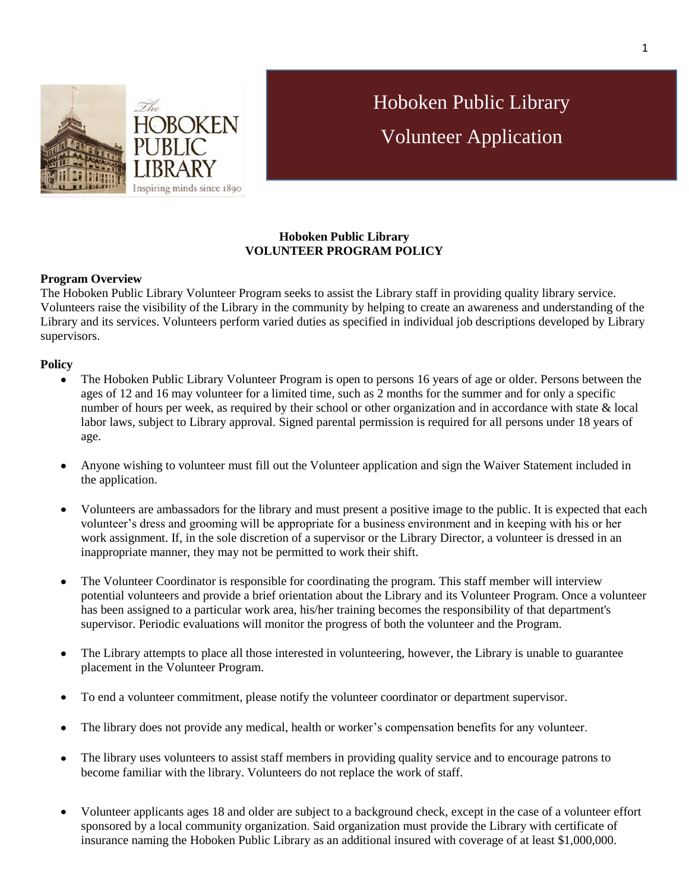

# Hoboken Public Library Volunteer Application

## **Hoboken Public Library VOLUNTEER PROGRAM POLICY**

### **Program Overview**

The Hoboken Public Library Volunteer Program seeks to assist the Library staff in providing quality library service. Volunteers raise the visibility of the Library in the community by helping to create an awareness and understanding of the Library and its services. Volunteers perform varied duties as specified in individual job descriptions developed by Library supervisors.

### **Policy**

- The Hoboken Public Library Volunteer Program is open to persons 16 years of age or older. Persons between the ages of 12 and 16 may volunteer for a limited time, such as 2 months for the summer and for only a specific number of hours per week, as required by their school or other organization and in accordance with state & local labor laws, subject to Library approval. Signed parental permission is required for all persons under 18 years of age.
- Anyone wishing to volunteer must fill out the Volunteer application and sign the Waiver Statement included in the application.
- Volunteers are ambassadors for the library and must present a positive image to the public. It is expected that each  $\bullet$ volunteer's dress and grooming will be appropriate for a business environment and in keeping with his or her work assignment. If, in the sole discretion of a supervisor or the Library Director, a volunteer is dressed in an inappropriate manner, they may not be permitted to work their shift.
- The Volunteer Coordinator is responsible for coordinating the program. This staff member will interview potential volunteers and provide a brief orientation about the Library and its Volunteer Program. Once a volunteer has been assigned to a particular work area, his/her training becomes the responsibility of that department's supervisor. Periodic evaluations will monitor the progress of both the volunteer and the Program.
- The Library attempts to place all those interested in volunteering, however, the Library is unable to guarantee placement in the Volunteer Program.
- To end a volunteer commitment, please notify the volunteer coordinator or department supervisor.
- The library does not provide any medical, health or worker's compensation benefits for any volunteer.
- The library uses volunteers to assist staff members in providing quality service and to encourage patrons to  $\bullet$ become familiar with the library. Volunteers do not replace the work of staff.
- Volunteer applicants ages 18 and older are subject to a background check, except in the case of a volunteer effort sponsored by a local community organization. Said organization must provide the Library with certificate of insurance naming the Hoboken Public Library as an additional insured with coverage of at least \$1,000,000.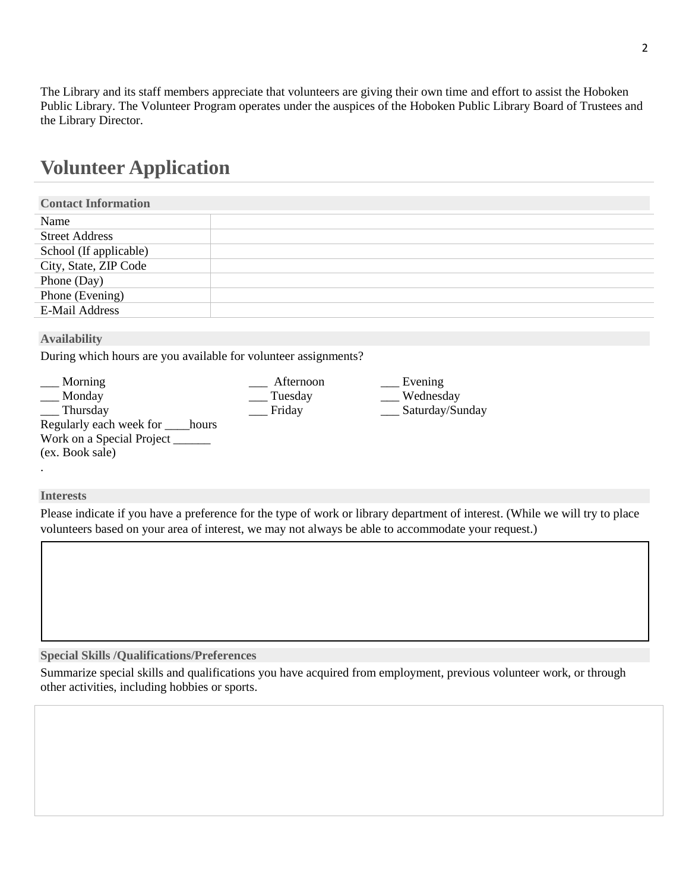The Library and its staff members appreciate that volunteers are giving their own time and effort to assist the Hoboken Public Library. The Volunteer Program operates under the auspices of the Hoboken Public Library Board of Trustees and the Library Director.

# **Volunteer Application**

| <b>Contact Information</b> |  |
|----------------------------|--|
| Name                       |  |
| <b>Street Address</b>      |  |
| School (If applicable)     |  |
| City, State, ZIP Code      |  |
| Phone (Day)                |  |
| Phone (Evening)            |  |
| <b>E-Mail Address</b>      |  |

### **Availability**

During which hours are you available for volunteer assignments?

| Morning                          | Afternoon | Evening         |
|----------------------------------|-----------|-----------------|
| Monday                           | Tuesday   | Wednesday       |
| Thursday                         | Friday    | Saturday/Sunday |
| Regularly each week for<br>hours |           |                 |
| Work on a Special Project        |           |                 |
| (ex. Book sale)                  |           |                 |

### **Interests**

.

Please indicate if you have a preference for the type of work or library department of interest. (While we will try to place volunteers based on your area of interest, we may not always be able to accommodate your request.)

### **Special Skills /Qualifications/Preferences**

Summarize special skills and qualifications you have acquired from employment, previous volunteer work, or through other activities, including hobbies or sports.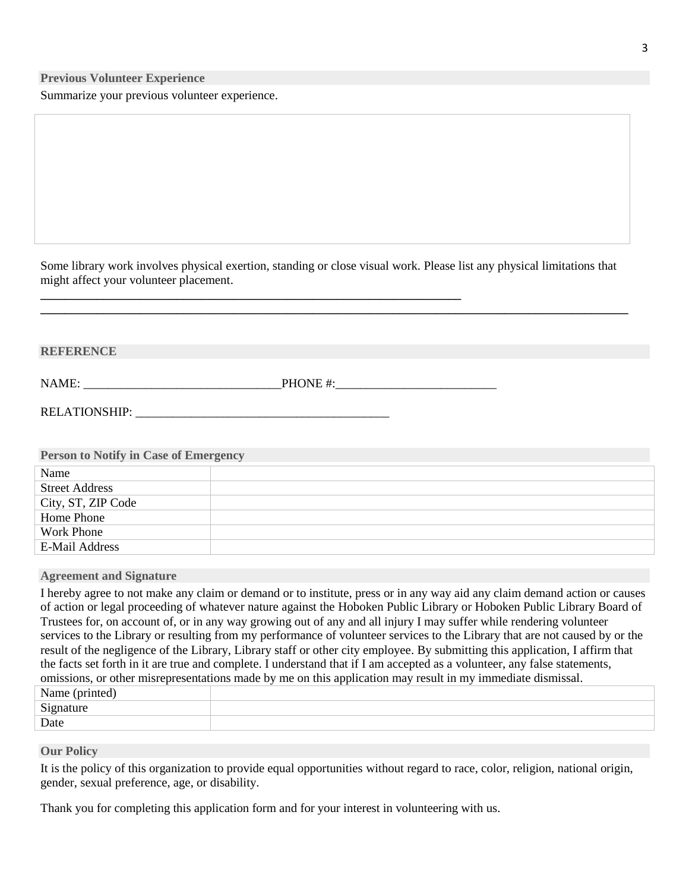**Previous Volunteer Experience**

Summarize your previous volunteer experience.

Some library work involves physical exertion, standing or close visual work. Please list any physical limitations that might affect your volunteer placement.

**\_\_\_\_\_\_\_\_\_\_\_\_\_\_\_\_\_\_\_\_\_\_\_\_\_\_\_\_\_\_\_\_\_\_\_\_\_\_\_\_\_\_\_\_\_\_\_\_\_\_\_\_\_\_\_\_\_\_\_\_\_\_\_\_\_\_\_\_\_\_\_\_\_\_\_\_\_\_\_\_\_\_\_\_\_\_\_\_\_\_\_\_\_\_\_**

**\_\_\_\_\_\_\_\_\_\_\_\_\_\_\_\_\_\_\_\_\_\_\_\_\_\_\_\_\_\_\_\_\_\_\_\_\_\_\_\_\_\_\_\_\_\_\_\_\_\_\_\_\_\_\_\_\_\_\_\_\_\_\_\_\_\_\_\_**

| <b>REFERENCE</b>                                                                                               |  |  |
|----------------------------------------------------------------------------------------------------------------|--|--|
|                                                                                                                |  |  |
| RELATIONSHIP: VALUE AND A CONSTRUCT A CONSTRUCTION OF THE CONSTRUCTION OF THE CONSTRUCTION OF THE CONSTRUCTION |  |  |
|                                                                                                                |  |  |
| <b>Person to Notify in Case of Emergency</b>                                                                   |  |  |
| Name                                                                                                           |  |  |
|                                                                                                                |  |  |

| <b>Street Address</b> |  |
|-----------------------|--|
| City, ST, ZIP Code    |  |
| Home Phone            |  |
| Work Phone            |  |
| E-Mail Address        |  |

**Agreement and Signature**

I hereby agree to not make any claim or demand or to institute, press or in any way aid any claim demand action or causes of action or legal proceeding of whatever nature against the Hoboken Public Library or Hoboken Public Library Board of Trustees for, on account of, or in any way growing out of any and all injury I may suffer while rendering volunteer services to the Library or resulting from my performance of volunteer services to the Library that are not caused by or the result of the negligence of the Library, Library staff or other city employee. By submitting this application, I affirm that the facts set forth in it are true and complete. I understand that if I am accepted as a volunteer, any false statements, omissions, or other misrepresentations made by me on this application may result in my immediate dismissal.

| Name (printed) |  |
|----------------|--|
| Signature      |  |
| Date           |  |

**Our Policy**

It is the policy of this organization to provide equal opportunities without regard to race, color, religion, national origin, gender, sexual preference, age, or disability.

Thank you for completing this application form and for your interest in volunteering with us.